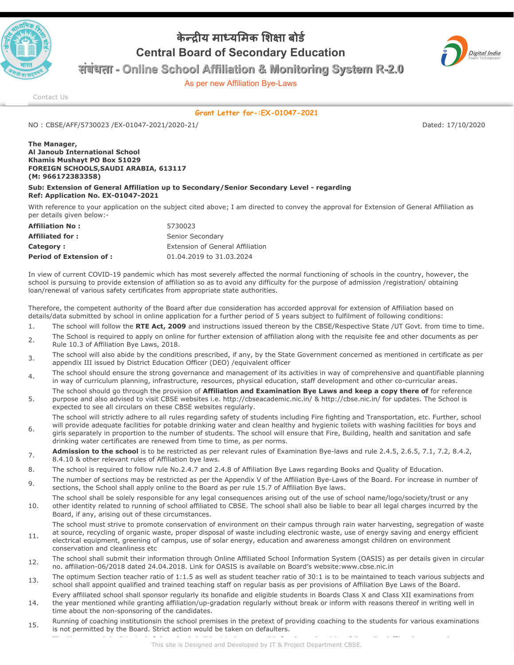

## **केय मायमक शा बोड Central Board of Secondary Education**



**संबंधता - Online School Affiliation & Monitoring System R-2.0**

As per new Affiliation Bye-Laws

[Contact Us](http://cbseaff.nic.in/cbse_aff/help.aspx)

**Grant Letter for-:EX-01047-2021**

NO : CBSE/AFF/5730023 /EX-01047-2021/2020-21/ Dated: 17/10/2020

## **The Manager, Al Janoub International School Khamis Mushayt PO Box 51029 FOREIGN SCHOOLS,SAUDI ARABIA, 613117 (M: 966172383358)**

conservation and cleanliness etc

## **Sub: Extension of General Affiliation up to Secondary/Senior Secondary Level - regarding Ref: Application No. EX-01047-2021**

With reference to your application on the subject cited above; I am directed to convey the approval for Extension of General Affiliation as per details given below:-

| <b>Affiliation No:</b>         | 5730023                          |
|--------------------------------|----------------------------------|
| <b>Affiliated for:</b>         | Senior Secondary                 |
| <b>Category:</b>               | Extension of General Affiliation |
| <b>Period of Extension of:</b> | 01.04.2019 to 31.03.2024         |

In view of current COVID-19 pandemic which has most severely affected the normal functioning of schools in the country, however, the school is pursuing to provide extension of affiliation so as to avoid any difficulty for the purpose of admission /registration/ obtaining loan/renewal of various safety certificates from appropriate state authorities.

Therefore, the competent authority of the Board after due consideration has accorded approval for extension of Affiliation based on details/data submitted by school in online application for a further period of 5 years subject to fulfilment of following conditions:

- 1. The school will follow the **RTE Act, 2009** and instructions issued thereon by the CBSE/Respective State /UT Govt. from time to time.
- $2<sub>2</sub>$  The School is required to apply on online for further extension of affiliation along with the requisite fee and other documents as per Rule 10.3 of Affiliation Bye Laws, 2018.
- 3. The school will also abide by the conditions prescribed, if any, by the State Government concerned as mentioned in certificate as per appendix III issued by District Education Officer (DEO) /equivalent officer
- The school should ensure the strong governance and management of its activities in way of comprehensive and quantifiable planning in way of curriculum planning, infrastructure, resources, physical education, staff development and other co-curricular areas.
- 5. The school should go through the provision of **Affiliation and Examination Bye Laws and keep a copy there of** for reference purpose and also advised to visit CBSE websites i.e. http://cbseacademic.nic.in/ & http://cbse.nic.in/ for updates. The School is expected to see all circulars on these CBSE websites regularly.
- 6. The school will strictly adhere to all rules regarding safety of students including Fire fighting and Transportation, etc. Further, school will provide adequate facilities for potable drinking water and clean healthy and hygienic toilets with washing facilities for boys and girls separately in proportion to the number of students. The school will ensure that Fire, Building, health and sanitation and safe drinking water certificates are renewed from time to time, as per norms.
- 7. **Admission to the school** is to be restricted as per relevant rules of Examination Bye-laws and rule 2.4.5, 2.6.5, 7.1, 7.2, 8.4.2, 8.4.10 & other relevant rules of Affiliation bye laws.
- 8. The school is required to follow rule No.2.4.7 and 2.4.8 of Affiliation Bye Laws regarding Books and Quality of Education.
- 9. The number of sections may be restricted as per the Appendix V of the Affiliation Bye-Laws of the Board. For increase in number of sections, the School shall apply online to the Board as per rule 15.7 of Affiliation Bye laws.
- 10. The school shall be solely responsible for any legal consequences arising out of the use of school name/logo/society/trust or any other identity related to running of school affiliated to CBSE. The school shall also be liable to bear all legal charges incurred by the Board, if any, arising out of these circumstances.
- 11. The school must strive to promote conservation of environment on their campus through rain water harvesting, segregation of waste at source, recycling of organic waste, proper disposal of waste including electronic waste, use of energy saving and energy efficient electrical equipment, greening of campus, use of solar energy, education and awareness amongst children on environment
- 12. The school shall submit their information through Online Affiliated School Information System (OASIS) as per details given in circular no. affiliation-06/2018 dated 24.04.2018. Link for OASIS is available on Board's website:www.cbse.nic.in
- 13. The optimum Section teacher ratio of 1:1.5 as well as student teacher ratio of 30:1 is to be maintained to teach various subjects and school shall appoint qualified and trained teaching staff on regular basis as per provisions of Affiliation Bye Laws of the Board.
- 14. Every affiliated school shall sponsor regularly its bonafide and eligible students in Boards Class X and Class XII examinations from the year mentioned while granting affiliation/up-gradation regularly without break or inform with reasons thereof in writing well in time about the non-sponsoring of the candidates.
- 15. Running of coaching institutionsin the school premises in the pretext of providing coaching to the students for various examinations is not permitted by the Board. Strict action would be taken on defaulters.